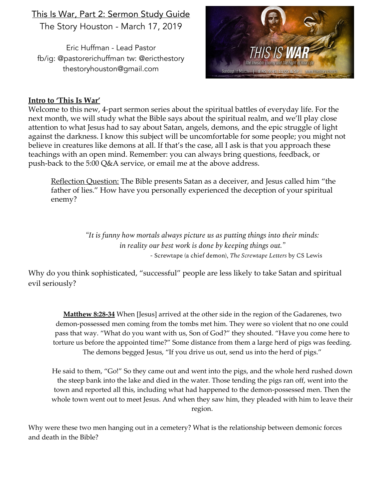## This Is War, Part 2: Sermon Study Guide The Story Houston - March 17, 2019

Eric Huffman - Lead Pastor fb/ig: @pastorerichuffman tw: @ericthestory thestoryhouston@gmail.com



## **Intro to 'This Is War'**

Welcome to this new, 4-part sermon series about the spiritual battles of everyday life. For the next month, we will study what the Bible says about the spiritual realm, and we'll play close attention to what Jesus had to say about Satan, angels, demons, and the epic struggle of light against the darkness. I know this subject will be uncomfortable for some people; you might not believe in creatures like demons at all. If that's the case, all I ask is that you approach these teachings with an open mind. Remember: you can always bring questions, feedback, or push-back to the 5:00 Q&A service, or email me at the above address.

Reflection Question: The Bible presents Satan as a deceiver, and Jesus called him "the father of lies." How have you personally experienced the deception of your spiritual enemy?

> *"It is funny how mortals always picture us as putting things into their minds: in reality our best work is done by keeping things out."* - Screwtape (a chief demon), *The Screwtape Letters* by CS Lewis

Why do you think sophisticated, "successful" people are less likely to take Satan and spiritual evil seriously?

**Matthew 8:28-34** When [Jesus] arrived at the other side in the region of the Gadarenes, two demon-possessed men coming from the tombs met him. They were so violent that no one could pass that way. "What do you want with us, Son of God?" they shouted. "Have you come here to torture us before the appointed time?" Some distance from them a large herd of pigs was feeding. The demons begged Jesus, "If you drive us out, send us into the herd of pigs."

He said to them, "Go!" So they came out and went into the pigs, and the whole herd rushed down the steep bank into the lake and died in the water. Those tending the pigs ran off, went into the town and reported all this, including what had happened to the demon-possessed men. Then the whole town went out to meet Jesus. And when they saw him, they pleaded with him to leave their region.

Why were these two men hanging out in a cemetery? What is the relationship between demonic forces and death in the Bible?